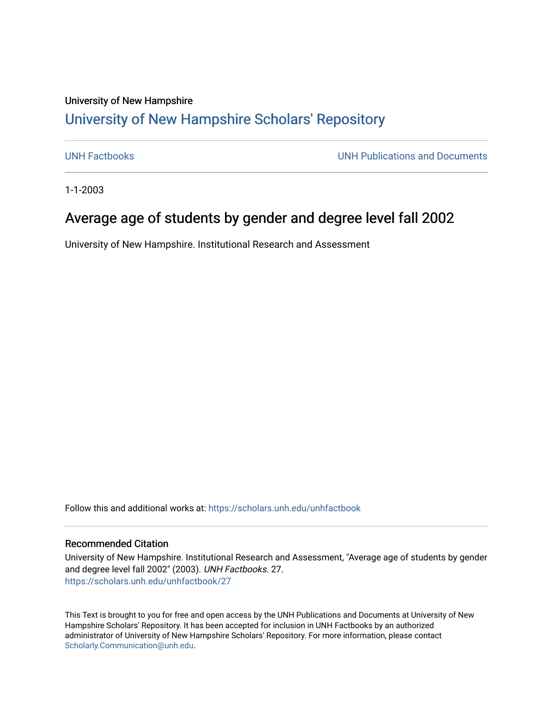## University of New Hampshire [University of New Hampshire Scholars' Repository](https://scholars.unh.edu/)

[UNH Factbooks](https://scholars.unh.edu/unhfactbook) [UNH Publications and Documents](https://scholars.unh.edu/admin) 

1-1-2003

# Average age of students by gender and degree level fall 2002

University of New Hampshire. Institutional Research and Assessment

Follow this and additional works at: [https://scholars.unh.edu/unhfactbook](https://scholars.unh.edu/unhfactbook?utm_source=scholars.unh.edu%2Funhfactbook%2F27&utm_medium=PDF&utm_campaign=PDFCoverPages) 

#### Recommended Citation

University of New Hampshire. Institutional Research and Assessment, "Average age of students by gender and degree level fall 2002" (2003). UNH Factbooks. 27. [https://scholars.unh.edu/unhfactbook/27](https://scholars.unh.edu/unhfactbook/27?utm_source=scholars.unh.edu%2Funhfactbook%2F27&utm_medium=PDF&utm_campaign=PDFCoverPages) 

This Text is brought to you for free and open access by the UNH Publications and Documents at University of New Hampshire Scholars' Repository. It has been accepted for inclusion in UNH Factbooks by an authorized administrator of University of New Hampshire Scholars' Repository. For more information, please contact [Scholarly.Communication@unh.edu](mailto:Scholarly.Communication@unh.edu).